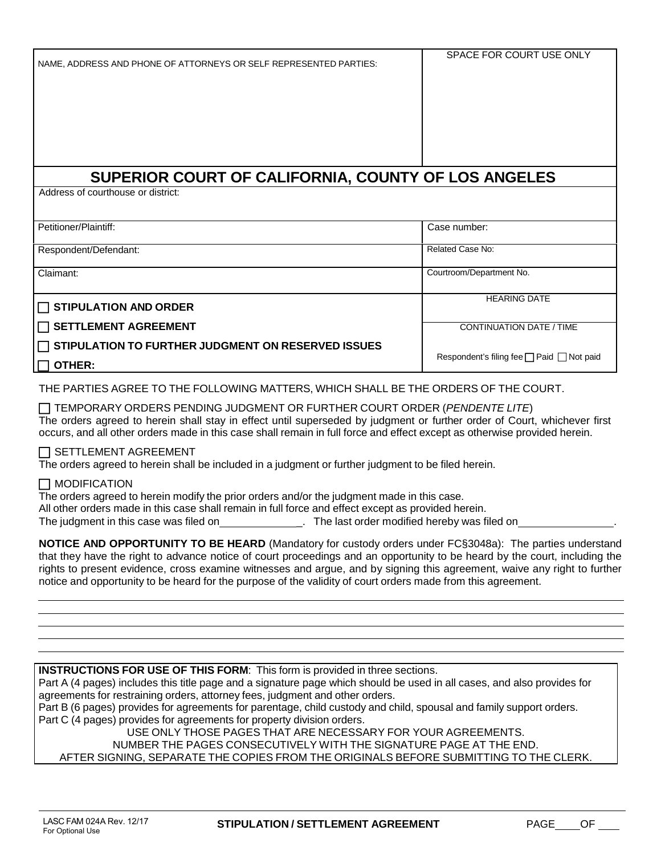|  |  | NAME. ADDRESS AND PHONE OF ATTORNEYS OR SELF REPRESENTED PARTIES: |  |  |  |
|--|--|-------------------------------------------------------------------|--|--|--|
|  |  |                                                                   |  |  |  |

# **SUPERIOR COURT OF CALIFORNIA, COUNTY OF LOS ANGELES**

Address of courthouse or district:

| Petitioner/Plaintiff:                                     | Case number:                                        |
|-----------------------------------------------------------|-----------------------------------------------------|
|                                                           |                                                     |
| Respondent/Defendant:                                     | Related Case No:                                    |
|                                                           |                                                     |
| Claimant:                                                 | Courtroom/Department No.                            |
|                                                           |                                                     |
|                                                           | <b>HEARING DATE</b>                                 |
| $\Box$ STIPULATION AND ORDER                              |                                                     |
| $\Box$ SETTLEMENT AGREEMENT                               | <b>CONTINUATION DATE / TIME</b>                     |
|                                                           |                                                     |
| $\Box$ STIPULATION TO FURTHER JUDGMENT ON RESERVED ISSUES |                                                     |
|                                                           | Respondent's filing fee $\Box$ Paid $\Box$ Not paid |
| $\Box$ other:                                             |                                                     |

THE PARTIES AGREE TO THE FOLLOWING MATTERS, WHICH SHALL BE THE ORDERS OF THE COURT.

 TEMPORARY ORDERS PENDING JUDGMENT OR FURTHER COURT ORDER (*PENDENTE LITE*) The orders agreed to herein shall stay in effect until superseded by judgment or further order of Court, whichever first occurs, and all other orders made in this case shall remain in full force and effect except as otherwise provided herein.

#### $\Box$  SETTLEMENT AGREEMENT

The orders agreed to herein shall be included in a judgment or further judgment to be filed herein.

## MODIFICATION

The orders agreed to herein modify the prior orders and/or the judgment made in this case. All other orders made in this case shall remain in full force and effect except as provided herein.

The judgment in this case was filed on \_. The last order modified hereby was filed on .

**NOTICE AND OPPORTUNITY TO BE HEARD** (Mandatory for custody orders under FC§3048a): The parties understand that they have the right to advance notice of court proceedings and an opportunity to be heard by the court, including the rights to present evidence, cross examine witnesses and argue, and by signing this agreement, waive any right to further notice and opportunity to be heard for the purpose of the validity of court orders made from this agreement.

**INSTRUCTIONS FOR USE OF THIS FORM**: This form is provided in three sections.

Part A (4 pages) includes this title page and a signature page which should be used in all cases, and also provides for agreements for restraining orders, attorney fees, judgment and other orders.

Part B (6 pages) provides for agreements for parentage, child custody and child, spousal and family support orders. Part C (4 pages) provides for agreements for property division orders.

USE ONLY THOSE PAGES THAT ARE NECESSARY FOR YOUR AGREEMENTS.

NUMBER THE PAGES CONSECUTIVELY WITH THE SIGNATURE PAGE AT THE END.

AFTER SIGNING, SEPARATE THE COPIES FROM THE ORIGINALS BEFORE SUBMITTING TO THE CLERK.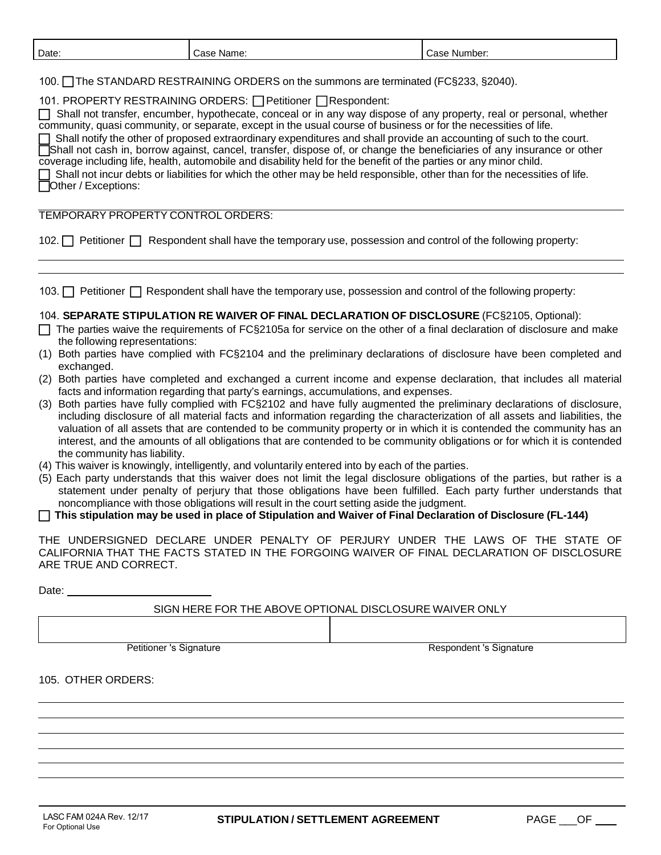| Date:                                                                                                                                                                                                                                                                                                                                                                                                                                                                                                                                                                                                                                                                                                                                                                                                                                                                                                                | Case Name:                                                                                                                                                                       |  | Case Number:                                                                                                                                                                                                                                                                                                                                                                                                                                                                                                                                                                                                                                                                                                                                                                                                                                                                                                                                                                                                                                                                                                                                                                                                                                                                                                                                       |  |
|----------------------------------------------------------------------------------------------------------------------------------------------------------------------------------------------------------------------------------------------------------------------------------------------------------------------------------------------------------------------------------------------------------------------------------------------------------------------------------------------------------------------------------------------------------------------------------------------------------------------------------------------------------------------------------------------------------------------------------------------------------------------------------------------------------------------------------------------------------------------------------------------------------------------|----------------------------------------------------------------------------------------------------------------------------------------------------------------------------------|--|----------------------------------------------------------------------------------------------------------------------------------------------------------------------------------------------------------------------------------------------------------------------------------------------------------------------------------------------------------------------------------------------------------------------------------------------------------------------------------------------------------------------------------------------------------------------------------------------------------------------------------------------------------------------------------------------------------------------------------------------------------------------------------------------------------------------------------------------------------------------------------------------------------------------------------------------------------------------------------------------------------------------------------------------------------------------------------------------------------------------------------------------------------------------------------------------------------------------------------------------------------------------------------------------------------------------------------------------------|--|
| 100. The STANDARD RESTRAINING ORDERS on the summons are terminated (FC§233, §2040).<br>101. PROPERTY RESTRAINING ORDERS: Petitioner Respondent:<br>Shall not transfer, encumber, hypothecate, conceal or in any way dispose of any property, real or personal, whether<br>community, quasi community, or separate, except in the usual course of business or for the necessities of life.<br>Shall notify the other of proposed extraordinary expenditures and shall provide an accounting of such to the court.<br>Shall not cash in, borrow against, cancel, transfer, dispose of, or change the beneficiaries of any insurance or other<br>coverage including life, health, automobile and disability held for the benefit of the parties or any minor child.<br>Shall not incur debts or liabilities for which the other may be held responsible, other than for the necessities of life.<br>Other / Exceptions: |                                                                                                                                                                                  |  |                                                                                                                                                                                                                                                                                                                                                                                                                                                                                                                                                                                                                                                                                                                                                                                                                                                                                                                                                                                                                                                                                                                                                                                                                                                                                                                                                    |  |
| TEMPORARY PROPERTY CONTROL ORDERS:                                                                                                                                                                                                                                                                                                                                                                                                                                                                                                                                                                                                                                                                                                                                                                                                                                                                                   |                                                                                                                                                                                  |  |                                                                                                                                                                                                                                                                                                                                                                                                                                                                                                                                                                                                                                                                                                                                                                                                                                                                                                                                                                                                                                                                                                                                                                                                                                                                                                                                                    |  |
|                                                                                                                                                                                                                                                                                                                                                                                                                                                                                                                                                                                                                                                                                                                                                                                                                                                                                                                      |                                                                                                                                                                                  |  | 102. Petitioner Sales Respondent shall have the temporary use, possession and control of the following property:                                                                                                                                                                                                                                                                                                                                                                                                                                                                                                                                                                                                                                                                                                                                                                                                                                                                                                                                                                                                                                                                                                                                                                                                                                   |  |
|                                                                                                                                                                                                                                                                                                                                                                                                                                                                                                                                                                                                                                                                                                                                                                                                                                                                                                                      |                                                                                                                                                                                  |  |                                                                                                                                                                                                                                                                                                                                                                                                                                                                                                                                                                                                                                                                                                                                                                                                                                                                                                                                                                                                                                                                                                                                                                                                                                                                                                                                                    |  |
|                                                                                                                                                                                                                                                                                                                                                                                                                                                                                                                                                                                                                                                                                                                                                                                                                                                                                                                      |                                                                                                                                                                                  |  | 103. Petitioner <b>F</b> Respondent shall have the temporary use, possession and control of the following property:                                                                                                                                                                                                                                                                                                                                                                                                                                                                                                                                                                                                                                                                                                                                                                                                                                                                                                                                                                                                                                                                                                                                                                                                                                |  |
| the following representations:<br>exchanged.<br>the community has liability.<br>(4) This waiver is knowingly, intelligently, and voluntarily entered into by each of the parties.                                                                                                                                                                                                                                                                                                                                                                                                                                                                                                                                                                                                                                                                                                                                    | facts and information regarding that party's earnings, accumulations, and expenses.<br>noncompliance with those obligations will result in the court setting aside the judgment. |  | 104. SEPARATE STIPULATION RE WAIVER OF FINAL DECLARATION OF DISCLOSURE (FC§2105, Optional):<br>The parties waive the requirements of FC§2105a for service on the other of a final declaration of disclosure and make<br>(1) Both parties have complied with FC§2104 and the preliminary declarations of disclosure have been completed and<br>(2) Both parties have completed and exchanged a current income and expense declaration, that includes all material<br>(3) Both parties have fully complied with FC§2102 and have fully augmented the preliminary declarations of disclosure,<br>including disclosure of all material facts and information regarding the characterization of all assets and liabilities, the<br>valuation of all assets that are contended to be community property or in which it is contended the community has an<br>interest, and the amounts of all obligations that are contended to be community obligations or for which it is contended<br>(5) Each party understands that this waiver does not limit the legal disclosure obligations of the parties, but rather is a<br>statement under penalty of perjury that those obligations have been fulfilled. Each party further understands that<br>This stipulation may be used in place of Stipulation and Waiver of Final Declaration of Disclosure (FL-144) |  |
| THE UNDERSIGNED DECLARE UNDER PENALTY OF PERJURY UNDER THE LAWS OF THE STATE OF<br>CALIFORNIA THAT THE FACTS STATED IN THE FORGOING WAIVER OF FINAL DECLARATION OF DISCLOSURE<br>ARE TRUE AND CORRECT.                                                                                                                                                                                                                                                                                                                                                                                                                                                                                                                                                                                                                                                                                                               |                                                                                                                                                                                  |  |                                                                                                                                                                                                                                                                                                                                                                                                                                                                                                                                                                                                                                                                                                                                                                                                                                                                                                                                                                                                                                                                                                                                                                                                                                                                                                                                                    |  |
|                                                                                                                                                                                                                                                                                                                                                                                                                                                                                                                                                                                                                                                                                                                                                                                                                                                                                                                      |                                                                                                                                                                                  |  |                                                                                                                                                                                                                                                                                                                                                                                                                                                                                                                                                                                                                                                                                                                                                                                                                                                                                                                                                                                                                                                                                                                                                                                                                                                                                                                                                    |  |
|                                                                                                                                                                                                                                                                                                                                                                                                                                                                                                                                                                                                                                                                                                                                                                                                                                                                                                                      | SIGN HERE FOR THE ABOVE OPTIONAL DISCLOSURE WAIVER ONLY                                                                                                                          |  |                                                                                                                                                                                                                                                                                                                                                                                                                                                                                                                                                                                                                                                                                                                                                                                                                                                                                                                                                                                                                                                                                                                                                                                                                                                                                                                                                    |  |
|                                                                                                                                                                                                                                                                                                                                                                                                                                                                                                                                                                                                                                                                                                                                                                                                                                                                                                                      |                                                                                                                                                                                  |  |                                                                                                                                                                                                                                                                                                                                                                                                                                                                                                                                                                                                                                                                                                                                                                                                                                                                                                                                                                                                                                                                                                                                                                                                                                                                                                                                                    |  |
| Petitioner 's Signature                                                                                                                                                                                                                                                                                                                                                                                                                                                                                                                                                                                                                                                                                                                                                                                                                                                                                              |                                                                                                                                                                                  |  | <b>Respondent 's Signature</b>                                                                                                                                                                                                                                                                                                                                                                                                                                                                                                                                                                                                                                                                                                                                                                                                                                                                                                                                                                                                                                                                                                                                                                                                                                                                                                                     |  |

105. OTHER ORDERS: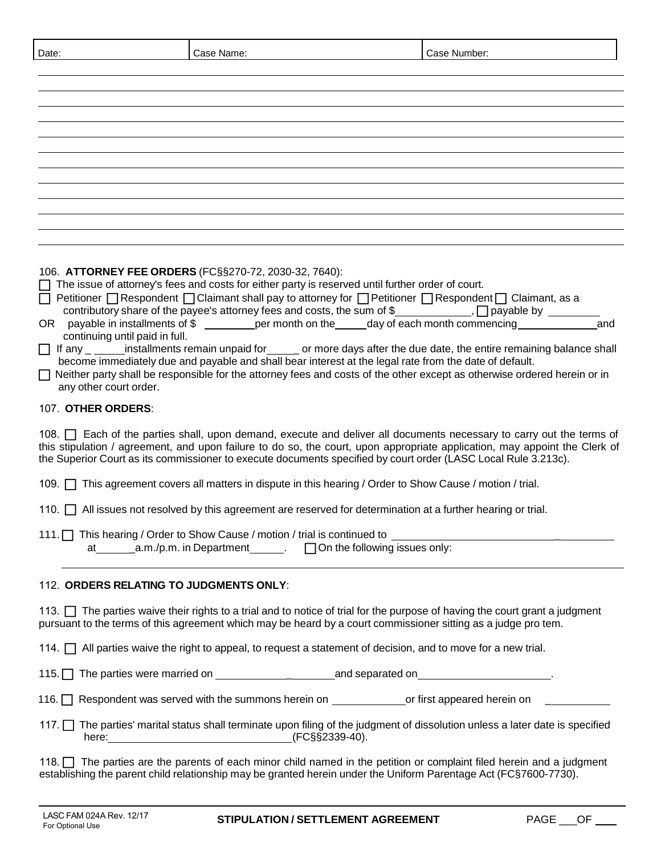|  | Date: | aseث<br>Name. | Number:<br>aseث |
|--|-------|---------------|-----------------|
|--|-------|---------------|-----------------|

| ,我们也不能会在这里,我们也不能会在这里,我们也不能会在这里,我们也不能会在这里,我们也不能会在这里,我们也不能会在这里,我们也不能会不能会不能会。""我们,我们 |                                                                                                                        |
|-----------------------------------------------------------------------------------|------------------------------------------------------------------------------------------------------------------------|
|                                                                                   |                                                                                                                        |
|                                                                                   |                                                                                                                        |
|                                                                                   |                                                                                                                        |
|                                                                                   |                                                                                                                        |
|                                                                                   |                                                                                                                        |
|                                                                                   |                                                                                                                        |
|                                                                                   |                                                                                                                        |
|                                                                                   |                                                                                                                        |
|                                                                                   |                                                                                                                        |
|                                                                                   |                                                                                                                        |
|                                                                                   | <u> 2008 - Andreas Andreas Andreas Andreas Andreas Andreas Andreas Andreas Andreas Andreas Andreas Andreas Andreas</u> |
|                                                                                   |                                                                                                                        |
|                                                                                   | ,我们也不会有什么。""我们的人,我们也不会有什么?""我们的人,我们也不会有什么?""我们的人,我们也不会有什么?""我们的人,我们也不会有什么?""我们的人                                       |
|                                                                                   |                                                                                                                        |
|                                                                                   | ,一个人都是一个人的人,一个人都是一个人的人,一个人都是一个人的人,一个人都是一个人的人,一个人都是一个人的人,一个人都是一个人的人,一个人都是一个人的人,一个人                                      |
|                                                                                   |                                                                                                                        |
|                                                                                   |                                                                                                                        |
|                                                                                   |                                                                                                                        |
|                                                                                   |                                                                                                                        |
|                                                                                   |                                                                                                                        |
|                                                                                   |                                                                                                                        |

106. **ATTORNEY FEE ORDERS** (FC§§270-72, 2030-32, 7640):

 $\Box$  The issue of attorney's fees and costs for either party is reserved until further order of court.

Petitioner  $\Box$  Respondent  $\Box$  Claimant shall pay to attorney for  $\Box$  Petitioner  $\Box$  Respondent  $\Box$  Claimant, as a

- contributory share of the payee's attorney fees and costs, the sum of  $\frac{1}{2}$  , payable by \_\_\_\_\_\_\_
- OR payable in installments of \$ per month on the day of each month commencing and continuing until paid in full.
- $\Box$  If any \_ \_\_\_\_\_\_\_ installments remain unpaid for \_\_\_\_\_\_ or more days after the due date, the entire remaining balance shall become immediately due and payable and shall bear interest at the legal rate from the date of default.
- □ Neither party shall be responsible for the attorney fees and costs of the other except as otherwise ordered herein or in any other court order.

#### 107. **OTHER ORDERS**:

108.  $\Box$  Each of the parties shall, upon demand, execute and deliver all documents necessary to carry out the terms of this stipulation / agreement, and upon failure to do so, the court, upon appropriate application, may appoint the Clerk of the Superior Court as its commissioner to execute documents specified by court order (LASC Local Rule 3.213c).

109. **This agreement covers all matters in dispute in this hearing / Order to Show Cause / motion / trial.** 

110.  $\Box$  All issues not resolved by this agreement are reserved for determination at a further hearing or trial.

111. This hearing / Order to Show Cause / motion / trial is continued to at  $a.m./p.m.$  in Department  $a.m./p.m.$  in Department  $a.m./p.m.$  Ton the following issues only:

## 112. **ORDERS RELATING TO JUDGMENTS ONLY**:

113.  $\Box$  The parties waive their rights to a trial and to notice of trial for the purpose of having the court grant a judgment pursuant to the terms of this agreement which may be heard by a court commissioner sitting as a judge pro tem.

114.  $\Box$  All parties waive the right to appeal, to request a statement of decision, and to move for a new trial.

115. The parties were married on  $\blacksquare$  and separated on .

116.  $\Box$  Respondent was served with the summons herein on  $\Box$  or first appeared herein on  $\Box$ 

117. ■ The parties' marital status shall terminate upon filing of the judgment of dissolution unless a later date is specified here:  $(FC\$ §2339-40).

118. The parties are the parents of each minor child named in the petition or complaint filed herein and a judgment establishing the parent child relationship may be granted herein under the Uniform Parentage Act (FC§7600-7730).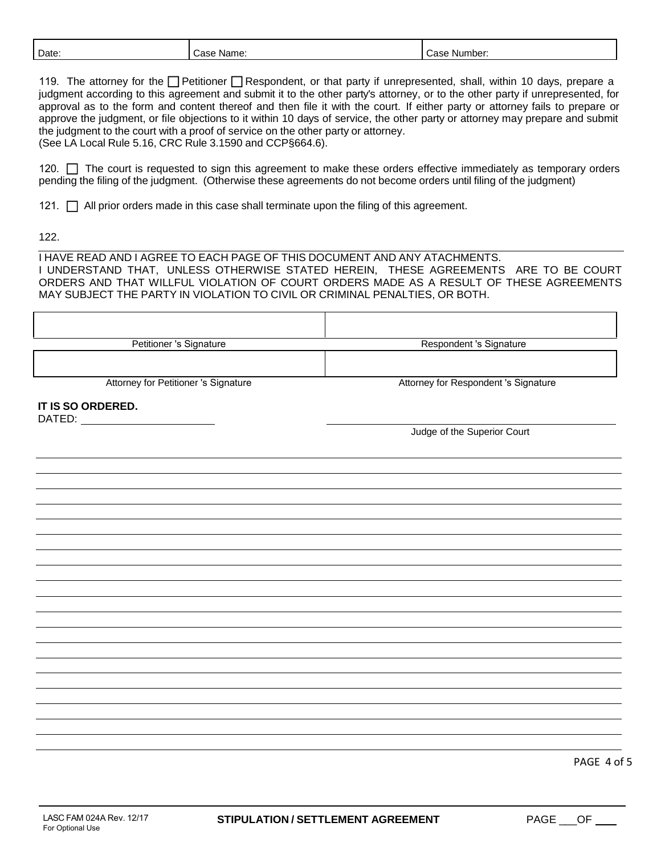| Date.<br>Name:<br>Number:<br>׳ימר<br>Case<br>.75F |  |
|---------------------------------------------------|--|
|---------------------------------------------------|--|

119. The attorney for the  $\Box$  Petitioner  $\Box$  Respondent, or that party if unrepresented, shall, within 10 days, prepare a judgment according to this agreement and submit it to the other party's attorney, or to the other party if unrepresented, for approval as to the form and content thereof and then file it with the court. If either party or attorney fails to prepare or approve the judgment, or file objections to it within 10 days of service, the other party or attorney may prepare and submit the judgment to the court with a proof of service on the other party or attorney. (See LA Local Rule 5.16, CRC Rule 3.1590 and CCP§664.6).

120. The court is requested to sign this agreement to make these orders effective immediately as temporary orders pending the filing of the judgment. (Otherwise these agreements do not become orders until filing of the judgment)

121.  $\Box$  All prior orders made in this case shall terminate upon the filing of this agreement.

122.

I HAVE READ AND I AGREE TO EACH PAGE OF THIS DOCUMENT AND ANY ATACHMENTS. I UNDERSTAND THAT, UNLESS OTHERWISE STATED HEREIN, THESE AGREEMENTS ARE TO BE COURT ORDERS AND THAT WILLFUL VIOLATION OF COURT ORDERS MADE AS A RESULT OF THESE AGREEMENTS MAY SUBJECT THE PARTY IN VIOLATION TO CIVIL OR CRIMINAL PENALTIES, OR BOTH.

| Petitioner 's Signature              | Respondent 's Signature              |
|--------------------------------------|--------------------------------------|
|                                      |                                      |
|                                      |                                      |
| Attorney for Petitioner 's Signature | Attorney for Respondent 's Signature |
| IT IS SO ORDERED.                    |                                      |
|                                      |                                      |
|                                      | Judge of the Superior Court          |
|                                      |                                      |
|                                      |                                      |
|                                      |                                      |
|                                      |                                      |
|                                      |                                      |
|                                      |                                      |
|                                      |                                      |
|                                      |                                      |
|                                      |                                      |
|                                      |                                      |
|                                      |                                      |
|                                      |                                      |
|                                      |                                      |
|                                      |                                      |
|                                      |                                      |
|                                      |                                      |
|                                      |                                      |
|                                      |                                      |
|                                      |                                      |
|                                      |                                      |
|                                      |                                      |
|                                      |                                      |
|                                      |                                      |
|                                      | PAGE 4 of 5                          |
|                                      |                                      |